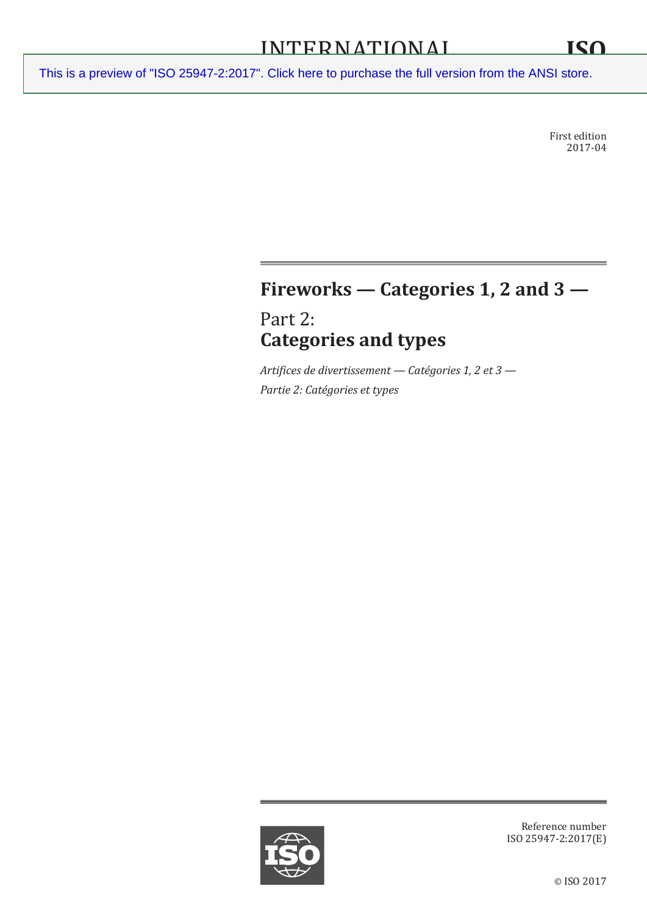First edition 2017-04

# **Fireworks — Categories 1, 2 and 3 —**

Part 2: **Categories and types**

*Artifices de divertissement — Catégories 1, 2 et 3 — Partie 2: Catégories et types*



Reference number ISO 25947-2:2017(E)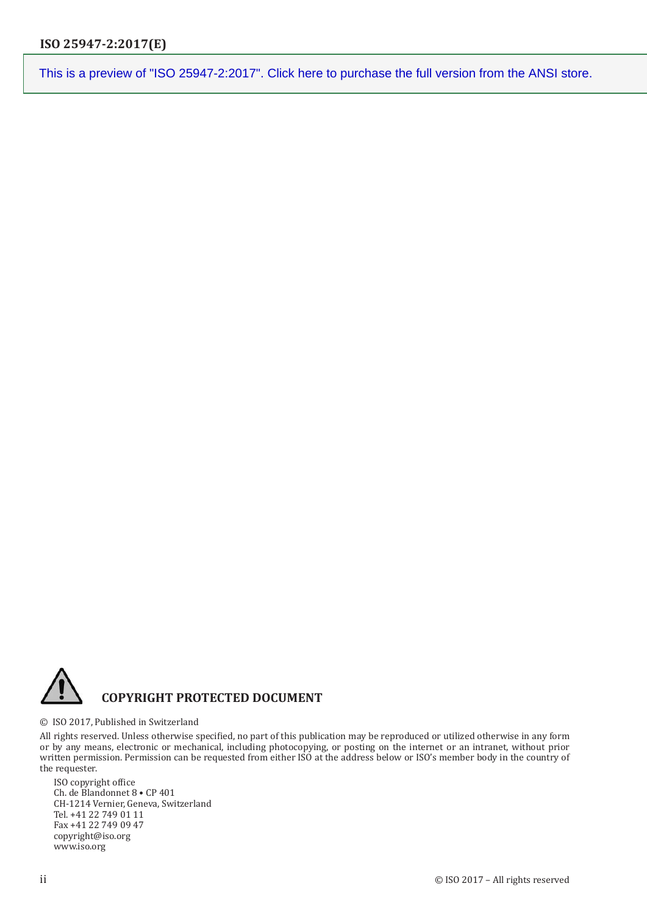

#### © ISO 2017, Published in Switzerland

All rights reserved. Unless otherwise specified, no part of this publication may be reproduced or utilized otherwise in any form or by any means, electronic or mechanical, including photocopying, or posting on the internet or an intranet, without prior written permission. Permission can be requested from either ISO at the address below or ISO's member body in the country of the requester.

ISO copyright office Ch. de Blandonnet 8 • CP 401 CH-1214 Vernier, Geneva, Switzerland Tel. +41 22 749 01 11 Fax +41 22 749 09 47 copyright@iso.org www.iso.org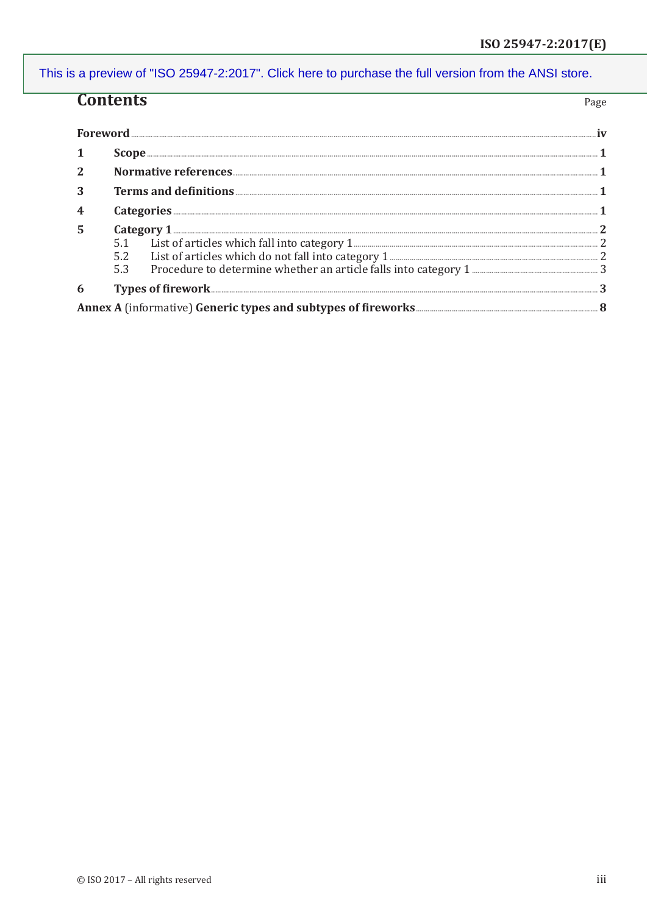## **Contents**

| Foreword. |                                                                                                                                                                                                                                                                                                                                                                                         |
|-----------|-----------------------------------------------------------------------------------------------------------------------------------------------------------------------------------------------------------------------------------------------------------------------------------------------------------------------------------------------------------------------------------------|
|           | $\textbf{Scope} \textit{} \textit{} \textit{} \textit{} \textit{} \textit{} \textit{} \textit{} \textit{} \textit{} \textit{} \textit{} \textit{} \textit{} \textit{} \textit{} \textit{} \textit{} \textit{} \textit{} \textit{} \textit{} \textit{} \textit{} \textit{} \textit{} \textit{} \textit{} \textit{} \textit{} \textit{} \textit{} \textit{} \textit{} \textit{} \textit{$ |
|           |                                                                                                                                                                                                                                                                                                                                                                                         |
| 3         |                                                                                                                                                                                                                                                                                                                                                                                         |
|           |                                                                                                                                                                                                                                                                                                                                                                                         |
| 5         |                                                                                                                                                                                                                                                                                                                                                                                         |
|           |                                                                                                                                                                                                                                                                                                                                                                                         |
|           |                                                                                                                                                                                                                                                                                                                                                                                         |
|           | 5.3                                                                                                                                                                                                                                                                                                                                                                                     |
| 6         |                                                                                                                                                                                                                                                                                                                                                                                         |
|           |                                                                                                                                                                                                                                                                                                                                                                                         |